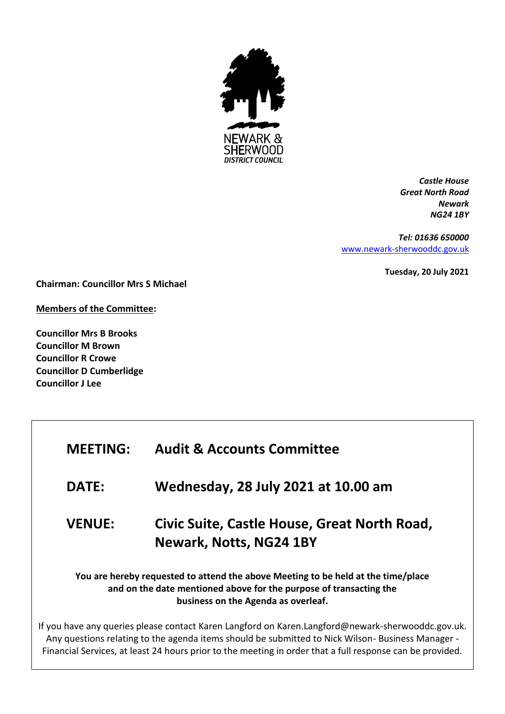

*Castle House Great North Road Newark NG24 1BY*

*Tel: 01636 650000* [www.newark-sherwooddc.gov.uk](http://www.newark-sherwooddc.gov.uk/)

**Tuesday, 20 July 2021**

**Chairman: Councillor Mrs S Michael**

**Members of the Committee:**

**Councillor Mrs B Brooks Councillor M Brown Councillor R Crowe Councillor D Cumberlidge Councillor J Lee**

| <b>MEETING:</b>                                                                                                                                                                                | <b>Audit &amp; Accounts Committee</b>                                                             |  |
|------------------------------------------------------------------------------------------------------------------------------------------------------------------------------------------------|---------------------------------------------------------------------------------------------------|--|
| <b>DATE:</b>                                                                                                                                                                                   | <b>Wednesday, 28 July 2021 at 10.00 am</b>                                                        |  |
| <b>VENUE:</b>                                                                                                                                                                                  | Civic Suite, Castle House, Great North Road,<br><b>Newark, Notts, NG24 1BY</b>                    |  |
| You are hereby requested to attend the above Meeting to be held at the time/place<br>and on the date mentioned above for the purpose of transacting the<br>business on the Agenda as overleaf. |                                                                                                   |  |
|                                                                                                                                                                                                | If you have any queries please contact Karen Langford on Karen.Langford@newark-sherwooddc.gov.uk. |  |

Any questions relating to the agenda items should be submitted to Nick Wilson- Business Manager - Financial Services, at least 24 hours prior to the meeting in order that a full response can be provided.